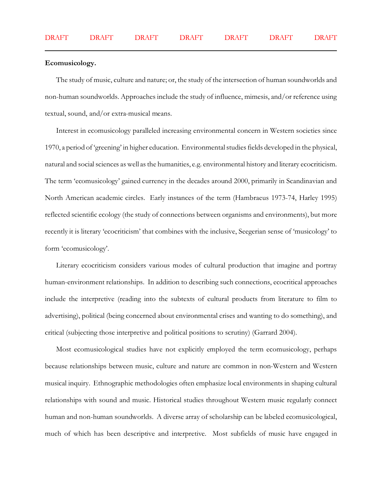## **Ecomusicology.**

The study of music, culture and nature; or, the study of the intersection of human soundworlds and non-human soundworlds. Approaches include the study of influence, mimesis, and/or reference using textual, sound, and/or extra-musical means.

Interest in ecomusicology paralleled increasing environmental concern in Western societies since 1970, a period of 'greening' in higher education. Environmental studies fields developed in the physical, natural and social sciences as well as the humanities, e.g. environmental history and literary ecocriticism. The term 'ecomusicology' gained currency in the decades around 2000, primarily in Scandinavian and North American academic circles. Early instances of the term (Hambraeus 1973-74, Harley 1995) reflected scientific ecology (the study of connections between organisms and environments), but more recently it is literary 'ecocriticism' that combines with the inclusive, Seegerian sense of 'musicology' to form 'ecomusicology'.

Literary ecocriticism considers various modes of cultural production that imagine and portray human-environment relationships. In addition to describing such connections, ecocritical approaches include the interpretive (reading into the subtexts of cultural products from literature to film to advertising), political (being concerned about environmental crises and wanting to do something), and critical (subjecting those interpretive and political positions to scrutiny) (Garrard 2004).

Most ecomusicological studies have not explicitly employed the term ecomusicology, perhaps because relationships between music, culture and nature are common in non-Western and Western musical inquiry. Ethnographic methodologies often emphasize local environments in shaping cultural relationships with sound and music. Historical studies throughout Western music regularly connect human and non-human soundworlds. A diverse array of scholarship can be labeled ecomusicological, much of which has been descriptive and interpretive. Most subfields of music have engaged in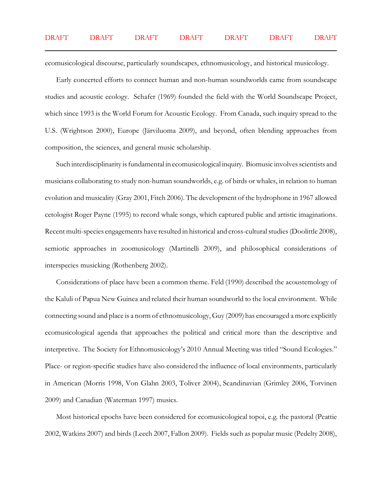ecomusicological discourse, particularly soundscapes, ethnomusicology, and historical musicology.

Early concerted efforts to connect human and non-human soundworlds came from soundscape studies and acoustic ecology. Schafer (1969) founded the field with the World Soundscape Project, which since 1993 is the World Forum for Acoustic Ecology. From Canada, such inquiry spread to the U.S. (Wrightson 2000), Europe (Järviluoma 2009), and beyond, often blending approaches from composition, the sciences, and general music scholarship.

Such interdisciplinarity is fundamental in ecomusicological inquiry. Biomusic involves scientists and musicians collaborating to study non-human soundworlds, e.g. of birds or whales, in relation to human evolution and musicality (Gray 2001, Fitch 2006). The development of the hydrophone in 1967 allowed cetologist Roger Payne (1995) to record whale songs, which captured public and artistic imaginations. Recent multi-species engagements have resulted in historical and cross-cultural studies (Doolittle 2008), semiotic approaches in zoomusicology (Martinelli 2009), and philosophical considerations of interspecies musicking (Rothenberg 2002).

Considerations of place have been a common theme. Feld (1990) described the acoustemology of the Kaluli of Papua New Guinea and related their human soundworld to the local environment. While connecting sound and place is a norm of ethnomusicology, Guy (2009) has encouraged a more explicitly ecomusicological agenda that approaches the political and critical more than the descriptive and interpretive. The Society for Ethnomusicology's 2010 Annual Meeting was titled "Sound Ecologies." Place- or region-specific studies have also considered the influence of local environments, particularly in American (Morris 1998, Von Glahn 2003, Toliver 2004), Scandinavian (Grimley 2006, Torvinen 2009) and Canadian (Waterman 1997) musics.

Most historical epochs have been considered for ecomusicological topoi, e.g. the pastoral (Peattie 2002, Watkins 2007) and birds (Leech 2007, Fallon 2009). Fields such as popular music (Pedelty 2008),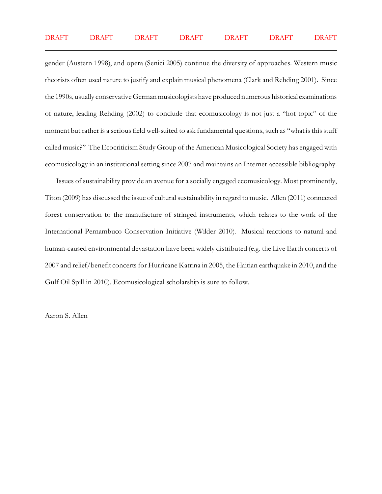gender (Austern 1998), and opera (Senici 2005) continue the diversity of approaches. Western music theorists often used nature to justify and explain musical phenomena (Clark and Rehding 2001). Since the 1990s, usually conservative German musicologists have produced numerous historical examinations of nature, leading Rehding (2002) to conclude that ecomusicology is not just a "hot topic" of the moment but rather is a serious field well-suited to ask fundamental questions, such as "what is this stuff called music?" The Ecocriticism Study Group of the American Musicological Society has engaged with ecomusicology in an institutional setting since 2007 and maintains an Internet-accessible bibliography.

Issues of sustainability provide an avenue for a socially engaged ecomusicology. Most prominently, Titon (2009) has discussed the issue of cultural sustainability in regard to music. Allen (2011) connected forest conservation to the manufacture of stringed instruments, which relates to the work of the International Pernambuco Conservation Initiative (Wilder 2010). Musical reactions to natural and human-caused environmental devastation have been widely distributed (e.g. the Live Earth concerts of 2007 and relief/benefit concerts for Hurricane Katrina in 2005, the Haitian earthquake in 2010, and the Gulf Oil Spill in 2010). Ecomusicological scholarship is sure to follow.

Aaron S. Allen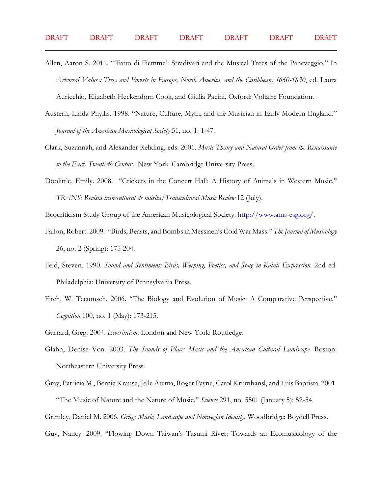- Allen, Aaron S. 2011. "'Fatto di Fiemme': Stradivari and the Musical Trees of the Paneveggio." In *Arboreal Values: Trees and Forests in Europe, North America, and the Caribbean, 1660-1830*, ed. Laura Auricchio, Elizabeth Heckendorn Cook, and Giulia Pacini. Oxford: Voltaire Foundation.
- Austern, Linda Phyllis. 1998. "Nature, Culture, Myth, and the Musician in Early Modern England." *Journal of the American Musicological Society* 51, no. 1: 1-47.
- Clark, Suzannah, and Alexander Rehding, eds. 2001. *Music Theory and Natural Order from the Renaissance to the Early Twentieth Century*. New York: Cambridge University Press.
- Doolittle, Emily. 2008. "Crickets in the Concert Hall: A History of Animals in Western Music." *TRANS: Revista transcultural de música/Transcultural Music Review* 12 (July).

Ecocriticism Study Group of the American Musicological Society.<http://www.ams-esg.org/.>

- Fallon, Robert. 2009. "Birds, Beasts, and Bombs in Messiaen's Cold War Mass." *The Journal of Musicology* 26, no. 2 (Spring): 175-204.
- Feld, Steven. 1990. *Sound and Sentiment: Birds, Weeping, Poetics, and Song in Kaluli Expression*. 2nd ed. Philadelphia: University of Pennsylvania Press.
- Fitch, W. Tecumseh. 2006. "The Biology and Evolution of Music: A Comparative Perspective." *Cognition* 100, no. 1 (May): 173-215.
- Garrard, Greg. 2004. *Ecocriticism*. London and New York: Routledge.
- Glahn, Denise Von. 2003. *The Sounds of Place: Music and the American Cultural Landscape*. Boston: Northeastern University Press.
- Gray, Patricia M., Bernie Krause, Jelle Atema, Roger Payne, Carol Krumhansl, and Luis Baptista. 2001. "The Music of Nature and the Nature of Music." *Science* 291, no. 5501 (January 5): 52-54. Grimley, Daniel M. 2006. *Grieg: Music, Landscape and Norwegian Identity*. Woodbridge: Boydell Press.
- Guy, Nancy. 2009. "Flowing Down Taiwan's Tasumi River: Towards an Ecomusicology of the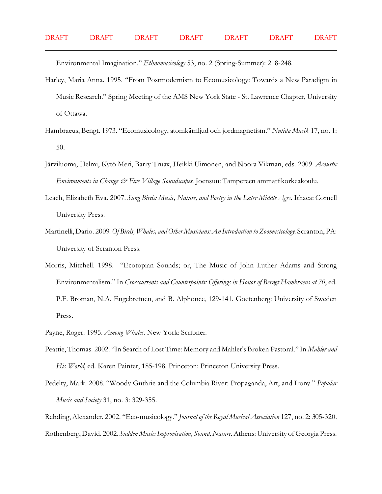Environmental Imagination." *Ethnomusicology* 53, no. 2 (Spring-Summer): 218-248.

- Harley, Maria Anna. 1995. "From Postmodernism to Ecomusicology: Towards a New Paradigm in Music Research." Spring Meeting of the AMS New York State - St. Lawrence Chapter, University of Ottawa.
- Hambraeus, Bengt. 1973. "Ecomusicology, atomkärnljud och jordmagnetism." *Nutida Musik* 17, no. 1: 50.
- Järviluoma, Helmi, Kytö Meri, Barry Truax, Heikki Uimonen, and Noora Vikman, eds. 2009. *Acoustic Environments in Change & Five Village Soundscapes*. Joensuu: Tampereen ammattikorkeakoulu.
- Leach, Elizabeth Eva. 2007. *Sung Birds: Music, Nature, and Poetry in the Later Middle Ages*. Ithaca: Cornell University Press.
- Martinelli, Dario. 2009. *Of Birds, Whales, and Other Musicians: An Introduction to Zoomusicology*. Scranton, PA: University of Scranton Press.
- Morris, Mitchell. 1998. "Ecotopian Sounds; or, The Music of John Luther Adams and Strong Environmentalism." In *Crosscurrents and Counterpoints: Offerings in Honor of Berngt Hambraeus at 70*, ed. P.F. Broman, N.A. Engebretnen, and B. Alphonce, 129-141. Goetenberg: University of Sweden Press.
- Payne, Roger. 1995. *Among Whales*. New York: Scribner.
- Peattie, Thomas. 2002. "In Search of Lost Time: Memory and Mahler's Broken Pastoral." In *Mahler and His World*, ed. Karen Painter, 185-198. Princeton: Princeton University Press.
- Pedelty, Mark. 2008. "Woody Guthrie and the Columbia River: Propaganda, Art, and Irony." *Popular Music and Society* 31, no. 3: 329-355.
- Rehding, Alexander. 2002. "Eco-musicology." *Journal of the Royal Musical Association* 127, no. 2: 305-320. Rothenberg, David. 2002. *Sudden Music: Improvisation, Sound, Nature.*Athens: University of Georgia Press.